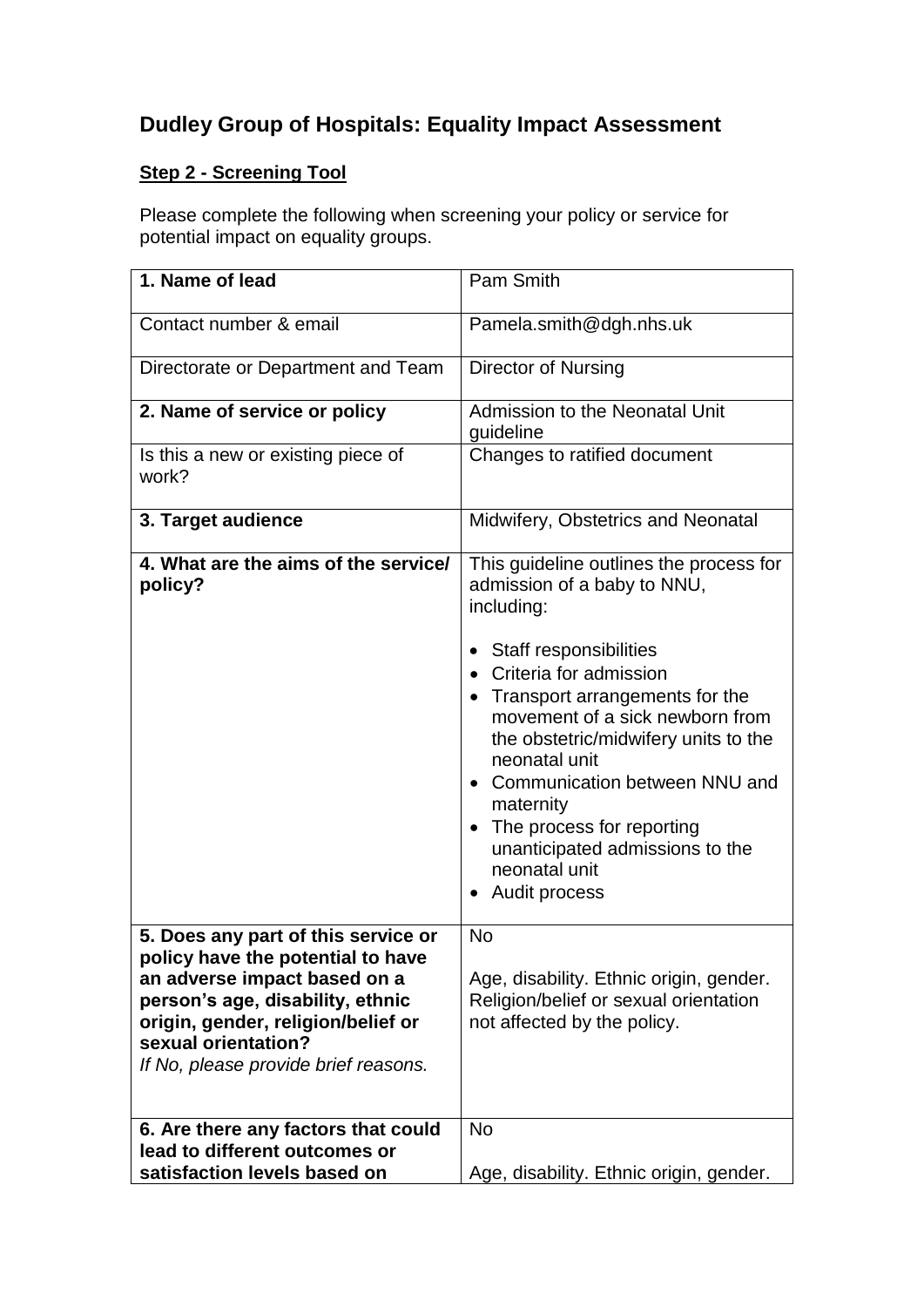## **Dudley Group of Hospitals: Equality Impact Assessment**

## **Step 2 - Screening Tool**

Please complete the following when screening your policy or service for potential impact on equality groups.

| 1. Name of lead                                                                                                                                                                                                                                   | Pam Smith                                                                                                                                                                                                                                                                                                                                                                                                                       |
|---------------------------------------------------------------------------------------------------------------------------------------------------------------------------------------------------------------------------------------------------|---------------------------------------------------------------------------------------------------------------------------------------------------------------------------------------------------------------------------------------------------------------------------------------------------------------------------------------------------------------------------------------------------------------------------------|
| Contact number & email                                                                                                                                                                                                                            | Pamela.smith@dgh.nhs.uk                                                                                                                                                                                                                                                                                                                                                                                                         |
| Directorate or Department and Team                                                                                                                                                                                                                | Director of Nursing                                                                                                                                                                                                                                                                                                                                                                                                             |
| 2. Name of service or policy                                                                                                                                                                                                                      | Admission to the Neonatal Unit<br>guideline                                                                                                                                                                                                                                                                                                                                                                                     |
| Is this a new or existing piece of<br>work?                                                                                                                                                                                                       | Changes to ratified document                                                                                                                                                                                                                                                                                                                                                                                                    |
| 3. Target audience                                                                                                                                                                                                                                | Midwifery, Obstetrics and Neonatal                                                                                                                                                                                                                                                                                                                                                                                              |
| 4. What are the aims of the service/<br>policy?                                                                                                                                                                                                   | This guideline outlines the process for<br>admission of a baby to NNU,<br>including:<br><b>Staff responsibilities</b><br>Criteria for admission<br>• Transport arrangements for the<br>movement of a sick newborn from<br>the obstetric/midwifery units to the<br>neonatal unit<br>Communication between NNU and<br>maternity<br>The process for reporting<br>unanticipated admissions to the<br>neonatal unit<br>Audit process |
| 5. Does any part of this service or<br>policy have the potential to have<br>an adverse impact based on a<br>person's age, disability, ethnic<br>origin, gender, religion/belief or<br>sexual orientation?<br>If No, please provide brief reasons. | <b>No</b><br>Age, disability. Ethnic origin, gender.<br>Religion/belief or sexual orientation<br>not affected by the policy.                                                                                                                                                                                                                                                                                                    |
| 6. Are there any factors that could<br>lead to different outcomes or<br>satisfaction levels based on                                                                                                                                              | <b>No</b><br>Age, disability. Ethnic origin, gender.                                                                                                                                                                                                                                                                                                                                                                            |